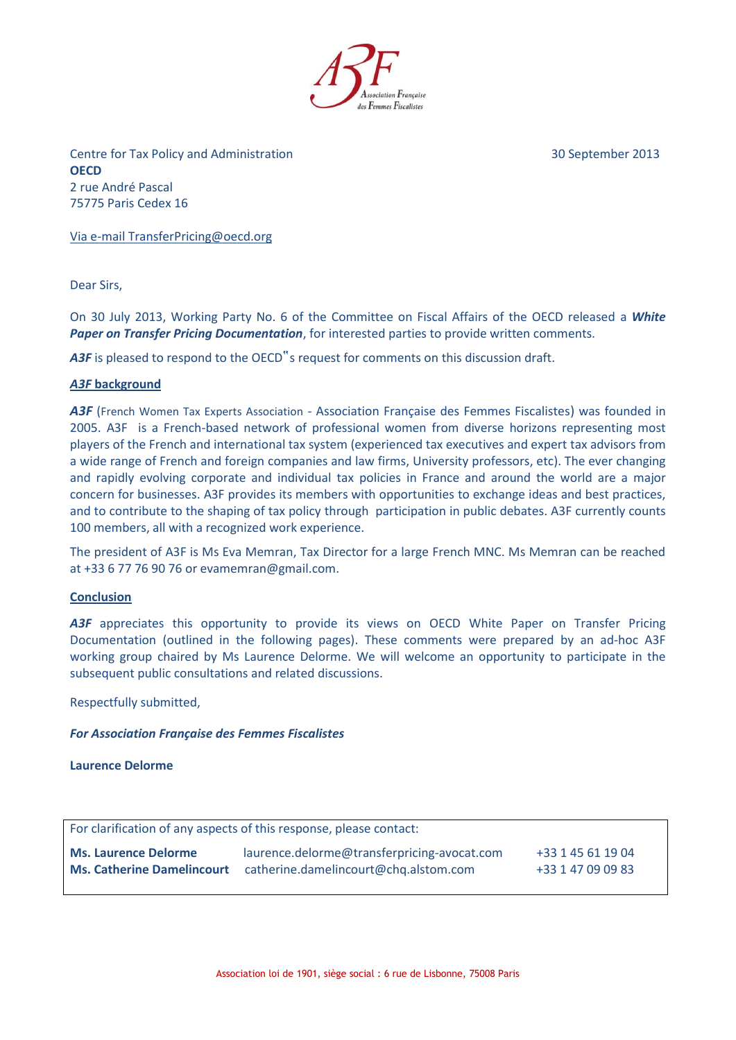

Centre for Tax Policy and Administration 30 September 2013 **OECD** 2 rue André Pascal 75775 Paris Cedex 16

Via e-mail TransferPricing@oecd.org

Dear Sirs,

On 30 July 2013, Working Party No. 6 of the Committee on Fiscal Affairs of the OECD released a *White Paper on Transfer Pricing Documentation*, for interested parties to provide written comments.

A3F is pleased to respond to the OECD"s request for comments on this discussion draft.

#### *A3F* **background**

A3F (French Women Tax Experts Association - Association Française des Femmes Fiscalistes) was founded in 2005. A3F is a French-based network of professional women from diverse horizons representing most players of the French and international tax system (experienced tax executives and expert tax advisors from a wide range of French and foreign companies and law firms, University professors, etc). The ever changing and rapidly evolving corporate and individual tax policies in France and around the world are a major concern for businesses. A3F provides its members with opportunities to exchange ideas and best practices, and to contribute to the shaping of tax policy through participation in public debates. A3F currently counts 100 members, all with a recognized work experience.

The president of A3F is Ms Eva Memran, Tax Director for a large French MNC. Ms Memran can be reached at +33 6 77 76 90 76 or evamemran@gmail.com.

#### **Conclusion**

A3F appreciates this opportunity to provide its views on OECD White Paper on Transfer Pricing Documentation (outlined in the following pages). These comments were prepared by an ad-hoc A3F working group chaired by Ms Laurence Delorme. We will welcome an opportunity to participate in the subsequent public consultations and related discussions.

Respectfully submitted,

#### *For Association Française des Femmes Fiscalistes*

**Laurence Delorme**

For clarification of any aspects of this response, please contact:

**Ms. Laurence Delorme** laurence.delorme@transferpricing-avocat.com +33 1 45 61 19 04 **Ms. Catherine Damelincourt** catherine.damelincourt@chq.alstom.com +33 1 47 09 09 83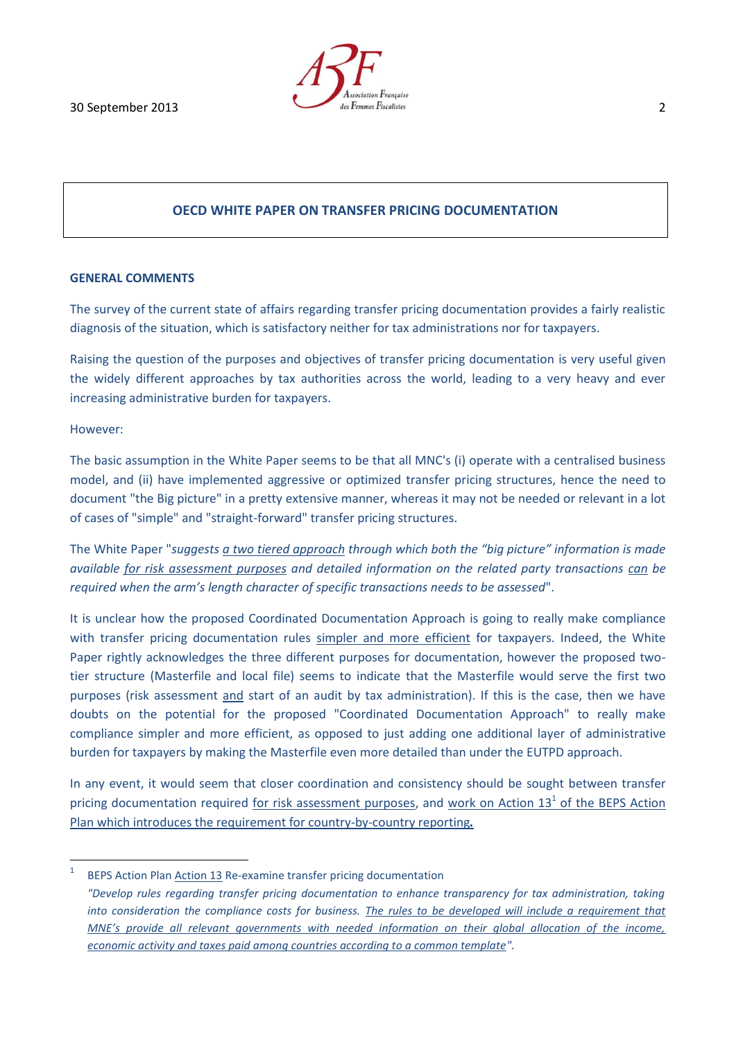

# **OECD WHITE PAPER ON TRANSFER PRICING DOCUMENTATION**

#### **GENERAL COMMENTS**

The survey of the current state of affairs regarding transfer pricing documentation provides a fairly realistic diagnosis of the situation, which is satisfactory neither for tax administrations nor for taxpayers.

Raising the question of the purposes and objectives of transfer pricing documentation is very useful given the widely different approaches by tax authorities across the world, leading to a very heavy and ever increasing administrative burden for taxpayers.

#### However:

The basic assumption in the White Paper seems to be that all MNC's (i) operate with a centralised business model, and (ii) have implemented aggressive or optimized transfer pricing structures, hence the need to document "the Big picture" in a pretty extensive manner, whereas it may not be needed or relevant in a lot of cases of "simple" and "straight-forward" transfer pricing structures.

The White Paper "*suggests a two tiered approach through which both the "big picture" information is made available for risk assessment purposes and detailed information on the related party transactions can be required when the arm's length character of specific transactions needs to be assessed*".

It is unclear how the proposed Coordinated Documentation Approach is going to really make compliance with transfer pricing documentation rules simpler and more efficient for taxpayers. Indeed, the White Paper rightly acknowledges the three different purposes for documentation, however the proposed twotier structure (Masterfile and local file) seems to indicate that the Masterfile would serve the first two purposes (risk assessment and start of an audit by tax administration). If this is the case, then we have doubts on the potential for the proposed "Coordinated Documentation Approach" to really make compliance simpler and more efficient, as opposed to just adding one additional layer of administrative burden for taxpayers by making the Masterfile even more detailed than under the EUTPD approach.

In any event, it would seem that closer coordination and consistency should be sought between transfer pricing documentation required for risk assessment purposes, and work on Action 13<sup>1</sup> of the BEPS Action Plan which introduces the requirement for country-by-country reporting*.*

 $\frac{1}{1}$ BEPS Action Plan Action 13 Re-examine transfer pricing documentation

*<sup>&</sup>quot;Develop rules regarding transfer pricing documentation to enhance transparency for tax administration, taking into consideration the compliance costs for business. The rules to be developed will include a requirement that MNE's provide all relevant governments with needed information on their global allocation of the income, economic activity and taxes paid among countries according to a common template".*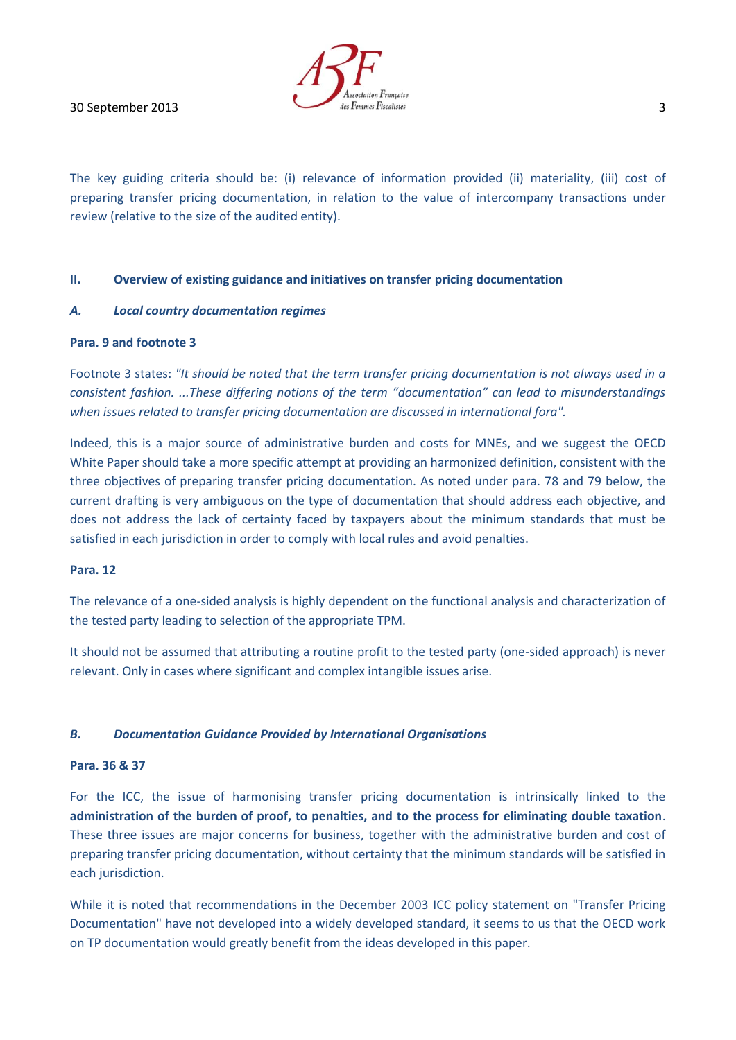

The key guiding criteria should be: (i) relevance of information provided (ii) materiality, (iii) cost of preparing transfer pricing documentation, in relation to the value of intercompany transactions under review (relative to the size of the audited entity).

# **II. Overview of existing guidance and initiatives on transfer pricing documentation**

# *A. Local country documentation regimes*

# **Para. 9 and footnote 3**

Footnote 3 states: *"It should be noted that the term transfer pricing documentation is not always used in a consistent fashion. ...These differing notions of the term "documentation" can lead to misunderstandings when issues related to transfer pricing documentation are discussed in international fora".*

Indeed, this is a major source of administrative burden and costs for MNEs, and we suggest the OECD White Paper should take a more specific attempt at providing an harmonized definition, consistent with the three objectives of preparing transfer pricing documentation. As noted under para. 78 and 79 below, the current drafting is very ambiguous on the type of documentation that should address each objective, and does not address the lack of certainty faced by taxpayers about the minimum standards that must be satisfied in each jurisdiction in order to comply with local rules and avoid penalties.

#### **Para. 12**

The relevance of a one-sided analysis is highly dependent on the functional analysis and characterization of the tested party leading to selection of the appropriate TPM.

It should not be assumed that attributing a routine profit to the tested party (one-sided approach) is never relevant. Only in cases where significant and complex intangible issues arise.

# *B. Documentation Guidance Provided by International Organisations*

# **Para. 36 & 37**

For the ICC, the issue of harmonising transfer pricing documentation is intrinsically linked to the **administration of the burden of proof, to penalties, and to the process for eliminating double taxation**. These three issues are major concerns for business, together with the administrative burden and cost of preparing transfer pricing documentation, without certainty that the minimum standards will be satisfied in each jurisdiction.

While it is noted that recommendations in the December 2003 ICC policy statement on "Transfer Pricing Documentation" have not developed into a widely developed standard, it seems to us that the OECD work on TP documentation would greatly benefit from the ideas developed in this paper.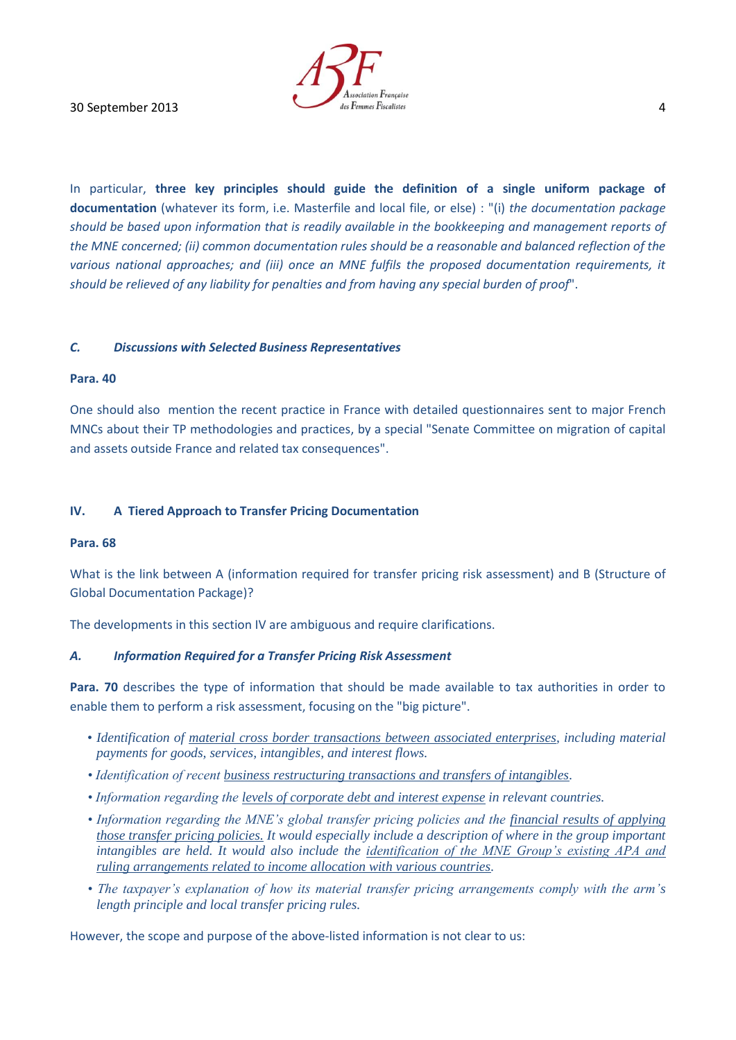In particular, **three key principles should guide the definition of a single uniform package of documentation** (whatever its form, i.e. Masterfile and local file, or else) : "(i) *the documentation package should be based upon information that is readily available in the bookkeeping and management reports of the MNE concerned; (ii) common documentation rules should be a reasonable and balanced reflection of the various national approaches; and (iii) once an MNE fulfils the proposed documentation requirements, it should be relieved of any liability for penalties and from having any special burden of proof*".

# *C. Discussions with Selected Business Representatives*

### **Para. 40**

One should also mention the recent practice in France with detailed questionnaires sent to major French MNCs about their TP methodologies and practices, by a special "Senate Committee on migration of capital and assets outside France and related tax consequences".

# **IV. A Tiered Approach to Transfer Pricing Documentation**

#### **Para. 68**

What is the link between A (information required for transfer pricing risk assessment) and B (Structure of Global Documentation Package)?

The developments in this section IV are ambiguous and require clarifications.

#### *A. Information Required for a Transfer Pricing Risk Assessment*

**Para. 70** describes the type of information that should be made available to tax authorities in order to enable them to perform a risk assessment, focusing on the "big picture".

- *Identification of material cross border transactions between associated enterprises, including material payments for goods, services, intangibles, and interest flows.*
- *Identification of recent business restructuring transactions and transfers of intangibles.*
- *Information regarding the levels of corporate debt and interest expense in relevant countries.*
- *Information regarding the MNE's global transfer pricing policies and the financial results of applying those transfer pricing policies. It would especially include a description of where in the group important intangibles are held. It would also include the identification of the MNE Group's existing APA and ruling arrangements related to income allocation with various countries.*
- *The taxpayer's explanation of how its material transfer pricing arrangements comply with the arm's length principle and local transfer pricing rules.*

However, the scope and purpose of the above-listed information is not clear to us: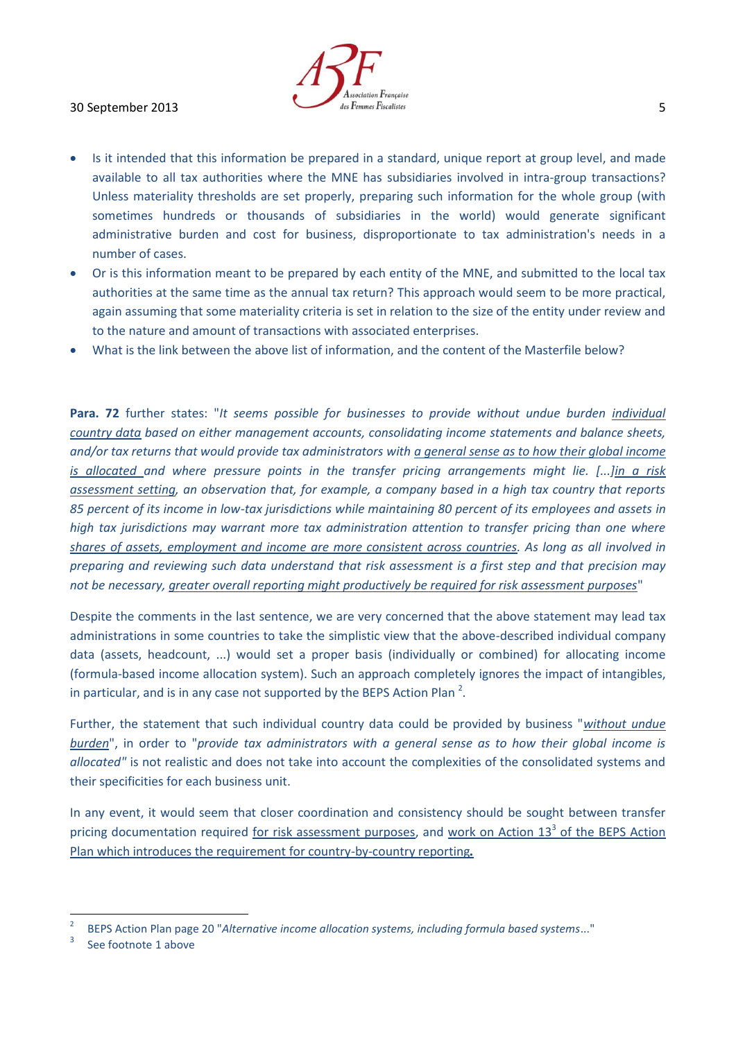# $\frac{d}{d}$  also Femmes Fiscalistes **5**

- Is it intended that this information be prepared in a standard, unique report at group level, and made available to all tax authorities where the MNE has subsidiaries involved in intra-group transactions? Unless materiality thresholds are set properly, preparing such information for the whole group (with sometimes hundreds or thousands of subsidiaries in the world) would generate significant administrative burden and cost for business, disproportionate to tax administration's needs in a number of cases.
- Or is this information meant to be prepared by each entity of the MNE, and submitted to the local tax authorities at the same time as the annual tax return? This approach would seem to be more practical, again assuming that some materiality criteria is set in relation to the size of the entity under review and to the nature and amount of transactions with associated enterprises.
- What is the link between the above list of information, and the content of the Masterfile below?

**Para. 72** further states: "*It seems possible for businesses to provide without undue burden individual country data based on either management accounts, consolidating income statements and balance sheets, and/or tax returns that would provide tax administrators with a general sense as to how their global income is allocated and where pressure points in the transfer pricing arrangements might lie. [...]in a risk assessment setting, an observation that, for example, a company based in a high tax country that reports 85 percent of its income in low-tax jurisdictions while maintaining 80 percent of its employees and assets in high tax jurisdictions may warrant more tax administration attention to transfer pricing than one where shares of assets, employment and income are more consistent across countries. As long as all involved in preparing and reviewing such data understand that risk assessment is a first step and that precision may not be necessary, greater overall reporting might productively be required for risk assessment purposes*"

Despite the comments in the last sentence, we are very concerned that the above statement may lead tax administrations in some countries to take the simplistic view that the above-described individual company data (assets, headcount, ...) would set a proper basis (individually or combined) for allocating income (formula-based income allocation system). Such an approach completely ignores the impact of intangibles, in particular, and is in any case not supported by the BEPS Action Plan<sup>2</sup>.

Further, the statement that such individual country data could be provided by business "*without undue burden*", in order to "*provide tax administrators with a general sense as to how their global income is allocated"* is not realistic and does not take into account the complexities of the consolidated systems and their specificities for each business unit.

In any event, it would seem that closer coordination and consistency should be sought between transfer pricing documentation required for risk assessment purposes, and work on Action 13<sup>3</sup> of the BEPS Action Plan which introduces the requirement for country-by-country reporting*.*

 $\overline{a}$ 

<sup>2</sup> BEPS Action Plan page 20 "*Alternative income allocation systems, including formula based systems*..."

<sup>3</sup> See footnote 1 above